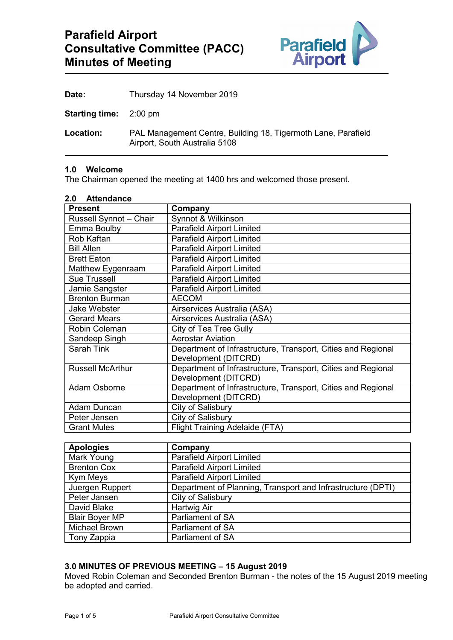

| Date:                         | Thursday 14 November 2019                                                                      |
|-------------------------------|------------------------------------------------------------------------------------------------|
| <b>Starting time:</b> 2:00 pm |                                                                                                |
| Location:                     | PAL Management Centre, Building 18, Tigermoth Lane, Parafield<br>Airport, South Australia 5108 |

## **1.0 Welcome**

The Chairman opened the meeting at 1400 hrs and welcomed those present.

#### **2.0 Attendance**

| <b>Present</b>          | Company                                                      |
|-------------------------|--------------------------------------------------------------|
| Russell Synnot - Chair  | Synnot & Wilkinson                                           |
| Emma Boulby             | <b>Parafield Airport Limited</b>                             |
| Rob Kaftan              | <b>Parafield Airport Limited</b>                             |
| <b>Bill Allen</b>       | <b>Parafield Airport Limited</b>                             |
| <b>Brett Eaton</b>      | <b>Parafield Airport Limited</b>                             |
| Matthew Eygenraam       | <b>Parafield Airport Limited</b>                             |
| <b>Sue Trussell</b>     | <b>Parafield Airport Limited</b>                             |
| Jamie Sangster          | <b>Parafield Airport Limited</b>                             |
| <b>Brenton Burman</b>   | <b>AECOM</b>                                                 |
| <b>Jake Webster</b>     | Airservices Australia (ASA)                                  |
| <b>Gerard Mears</b>     | Airservices Australia (ASA)                                  |
| Robin Coleman           | City of Tea Tree Gully                                       |
| Sandeep Singh           | <b>Aerostar Aviation</b>                                     |
| Sarah Tink              | Department of Infrastructure, Transport, Cities and Regional |
|                         | Development (DITCRD)                                         |
| <b>Russell McArthur</b> | Department of Infrastructure, Transport, Cities and Regional |
|                         | Development (DITCRD)                                         |
| Adam Osborne            | Department of Infrastructure, Transport, Cities and Regional |
|                         | Development (DITCRD)                                         |
| Adam Duncan             | City of Salisbury                                            |
| Peter Jensen            | City of Salisbury                                            |
| <b>Grant Mules</b>      | <b>Flight Training Adelaide (FTA)</b>                        |

| <b>Apologies</b>      | Company                                                     |
|-----------------------|-------------------------------------------------------------|
| Mark Young            | <b>Parafield Airport Limited</b>                            |
| <b>Brenton Cox</b>    | <b>Parafield Airport Limited</b>                            |
| Kym Meys              | <b>Parafield Airport Limited</b>                            |
| Juergen Ruppert       | Department of Planning, Transport and Infrastructure (DPTI) |
| Peter Jansen          | City of Salisbury                                           |
| David Blake           | Hartwig Air                                                 |
| <b>Blair Boyer MP</b> | Parliament of SA                                            |
| <b>Michael Brown</b>  | Parliament of SA                                            |
| Tony Zappia           | Parliament of SA                                            |

# **3.0 MINUTES OF PREVIOUS MEETING – 15 August 2019**

Moved Robin Coleman and Seconded Brenton Burman - the notes of the 15 August 2019 meeting be adopted and carried.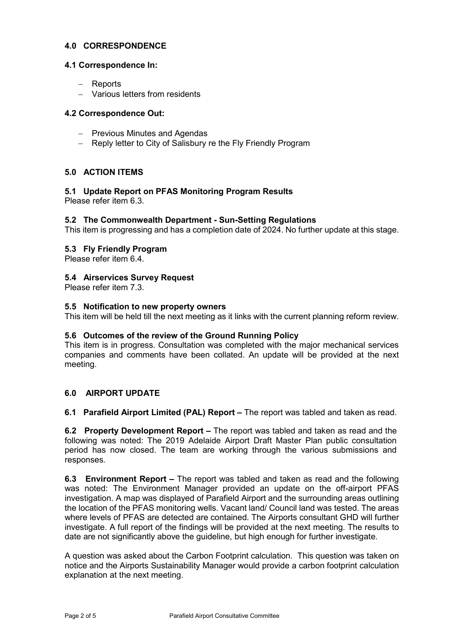# **4.0 CORRESPONDENCE**

#### **4.1 Correspondence In:**

- − Reports
- − Various letters from residents

## **4.2 Correspondence Out:**

- − Previous Minutes and Agendas
- − Reply letter to City of Salisbury re the Fly Friendly Program

# **5.0 ACTION ITEMS**

# **5.1 Update Report on PFAS Monitoring Program Results**

Please refer item 6.3.

## **5.2 The Commonwealth Department - Sun-Setting Regulations**

This item is progressing and has a completion date of 2024. No further update at this stage.

## **5.3 Fly Friendly Program**

Please refer item 6.4.

# **5.4 Airservices Survey Request**

Please refer item 7.3.

#### **5.5 Notification to new property owners**

This item will be held till the next meeting as it links with the current planning reform review.

#### **5.6 Outcomes of the review of the Ground Running Policy**

This item is in progress. Consultation was completed with the major mechanical services companies and comments have been collated. An update will be provided at the next meeting.

# **6.0 AIRPORT UPDATE**

# **6.1 Parafield Airport Limited (PAL) Report –** The report was tabled and taken as read.

**6.2 Property Development Report –** The report was tabled and taken as read and the following was noted: The 2019 Adelaide Airport Draft Master Plan public consultation period has now closed. The team are working through the various submissions and responses.

**6.3 Environment Report –** The report was tabled and taken as read and the following was noted: The Environment Manager provided an update on the off-airport PFAS investigation. A map was displayed of Parafield Airport and the surrounding areas outlining the location of the PFAS monitoring wells. Vacant land/ Council land was tested. The areas where levels of PFAS are detected are contained. The Airports consultant GHD will further investigate. A full report of the findings will be provided at the next meeting. The results to date are not significantly above the guideline, but high enough for further investigate.

A question was asked about the Carbon Footprint calculation. This question was taken on notice and the Airports Sustainability Manager would provide a carbon footprint calculation explanation at the next meeting.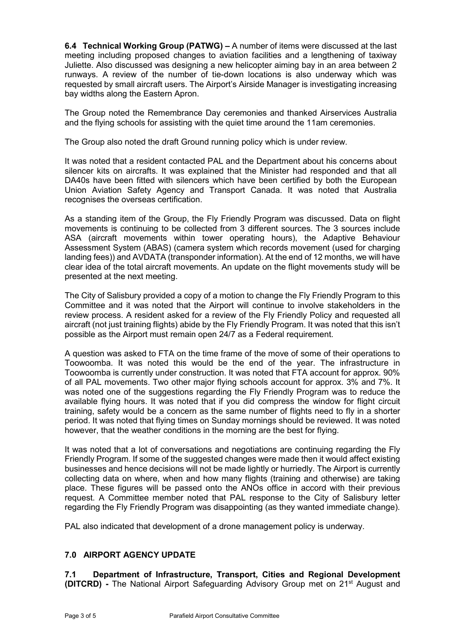**6.4 Technical Working Group (PATWG) –** A number of items were discussed at the last meeting including proposed changes to aviation facilities and a lengthening of taxiway Juliette. Also discussed was designing a new helicopter aiming bay in an area between 2 runways. A review of the number of tie-down locations is also underway which was requested by small aircraft users. The Airport's Airside Manager is investigating increasing bay widths along the Eastern Apron.

The Group noted the Remembrance Day ceremonies and thanked Airservices Australia and the flying schools for assisting with the quiet time around the 11am ceremonies.

The Group also noted the draft Ground running policy which is under review.

It was noted that a resident contacted PAL and the Department about his concerns about silencer kits on aircrafts. It was explained that the Minister had responded and that all DA40s have been fitted with silencers which have been certified by both the European Union Aviation Safety Agency and Transport Canada. It was noted that Australia recognises the overseas certification.

As a standing item of the Group, the Fly Friendly Program was discussed. Data on flight movements is continuing to be collected from 3 different sources. The 3 sources include ASA (aircraft movements within tower operating hours), the Adaptive Behaviour Assessment System (ABAS) (camera system which records movement (used for charging landing fees)) and AVDATA (transponder information). At the end of 12 months, we will have clear idea of the total aircraft movements. An update on the flight movements study will be presented at the next meeting.

The City of Salisbury provided a copy of a motion to change the Fly Friendly Program to this Committee and it was noted that the Airport will continue to involve stakeholders in the review process. A resident asked for a review of the Fly Friendly Policy and requested all aircraft (not just training flights) abide by the Fly Friendly Program. It was noted that this isn't possible as the Airport must remain open 24/7 as a Federal requirement.

A question was asked to FTA on the time frame of the move of some of their operations to Toowoomba. It was noted this would be the end of the year. The infrastructure in Toowoomba is currently under construction. It was noted that FTA account for approx. 90% of all PAL movements. Two other major flying schools account for approx. 3% and 7%. It was noted one of the suggestions regarding the Fly Friendly Program was to reduce the available flying hours. It was noted that if you did compress the window for flight circuit training, safety would be a concern as the same number of flights need to fly in a shorter period. It was noted that flying times on Sunday mornings should be reviewed. It was noted however, that the weather conditions in the morning are the best for flying.

It was noted that a lot of conversations and negotiations are continuing regarding the Fly Friendly Program. If some of the suggested changes were made then it would affect existing businesses and hence decisions will not be made lightly or hurriedly. The Airport is currently collecting data on where, when and how many flights (training and otherwise) are taking place. These figures will be passed onto the ANOs office in accord with their previous request. A Committee member noted that PAL response to the City of Salisbury letter regarding the Fly Friendly Program was disappointing (as they wanted immediate change).

PAL also indicated that development of a drone management policy is underway.

# **7.0 AIRPORT AGENCY UPDATE**

**7.1 Department of Infrastructure, Transport, Cities and Regional Development (DITCRD) -** The National Airport Safeguarding Advisory Group met on 21<sup>st</sup> August and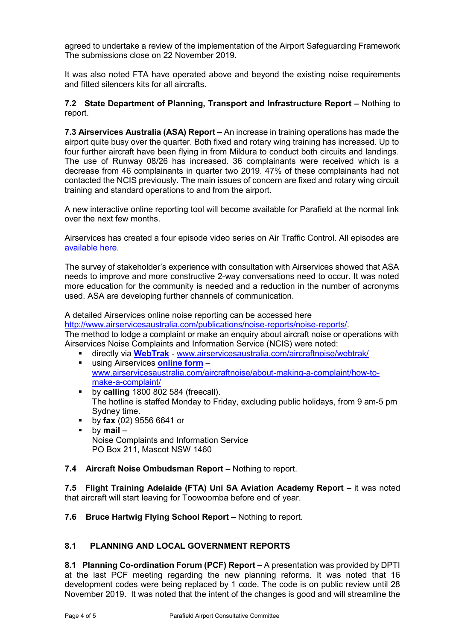agreed to undertake a review of the implementation of the Airport Safeguarding Framework The submissions close on 22 November 2019.

It was also noted FTA have operated above and beyond the existing noise requirements and fitted silencers kits for all aircrafts.

**7.2 State Department of Planning, Transport and Infrastructure Report –** Nothing to report.

**7.3 Airservices Australia (ASA) Report –** An increase in training operations has made the airport quite busy over the quarter. Both fixed and rotary wing training has increased. Up to four further aircraft have been flying in from Mildura to conduct both circuits and landings. The use of Runway 08/26 has increased. 36 complainants were received which is a decrease from 46 complainants in quarter two 2019. 47% of these complainants had not contacted the NCIS previously. The main issues of concern are fixed and rotary wing circuit training and standard operations to and from the airport.

A new interactive online reporting tool will become available for Parafield at the normal link over the next few months.

Airservices has created a four episode video series on Air Traffic Control. All episodes are [available](https://www.youtube.com/channel/UC7PuoYiezAXHtVR_s0XWRzA) here.

The survey of stakeholder's experience with consultation with Airservices showed that ASA needs to improve and more constructive 2-way conversations need to occur. It was noted more education for the community is needed and a reduction in the number of acronyms used. ASA are developing further channels of communication.

A detailed Airservices online noise reporting can be accessed here

[http://www.airservicesaustralia.com/publications/noise-reports/noise-reports/.](http://www.airservicesaustralia.com/publications/noise-reports/noise-reports/)

The method to lodge a complaint or make an enquiry about aircraft noise or operations with Airservices Noise Complaints and Information Service (NCIS) were noted:

- directly via **[WebTrak](http://www.airservicesaustralia.com/aircraftnoise/webtrak/)** [www.airservicesaustralia.com/aircraftnoise/webtrak/](http://www.airservicesaustralia.com/aircraftnoise/webtrak/)
- using Airservices **[online form](https://complaints.bksv.com/asa)** [www.airservicesaustralia.com/aircraftnoise/about-making-a-complaint/how-to](http://www.airservicesaustralia.com/aircraftnoise/about-making-a-complaint/how-to-make-a-complaint/)[make-a-complaint/](http://www.airservicesaustralia.com/aircraftnoise/about-making-a-complaint/how-to-make-a-complaint/)
- **by calling** 1800 802 584 (freecall). The hotline is staffed Monday to Friday, excluding public holidays, from 9 am-5 pm Sydney time.
- by **fax** (02) 9556 6641 or
- by **mail** Noise Complaints and Information Service PO Box 211, Mascot NSW 1460

# **7.4 Aircraft Noise Ombudsman Report –** Nothing to report.

**7.5 Flight Training Adelaide (FTA) Uni SA Aviation Academy Report –** it was noted that aircraft will start leaving for Toowoomba before end of year.

**7.6 Bruce Hartwig Flying School Report –** Nothing to report.

# **8.1 PLANNING AND LOCAL GOVERNMENT REPORTS**

**8.1 Planning Co-ordination Forum (PCF) Report –** A presentation was provided by DPTI at the last PCF meeting regarding the new planning reforms. It was noted that 16 development codes were being replaced by 1 code. The code is on public review until 28 November 2019. It was noted that the intent of the changes is good and will streamline the